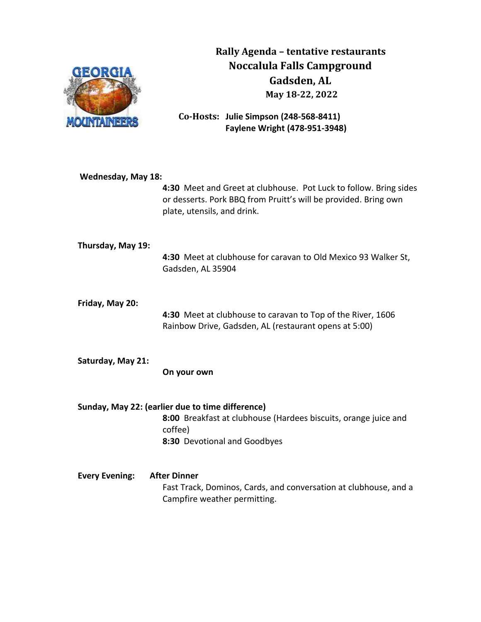

 **Rally Agenda – tentative restaurants Noccalula Falls Campground Gadsden, AL May 18-22, 2022**

**Co-Hosts: Julie Simpson (248-568-8411) Faylene Wright (478-951-3948)**

| <b>Wednesday, May 18:</b> | 4:30 Meet and Greet at clubhouse. Pot Luck to follow. Bring sides<br>or desserts. Pork BBQ from Pruitt's will be provided. Bring own<br>plate, utensils, and drink. |
|---------------------------|---------------------------------------------------------------------------------------------------------------------------------------------------------------------|
| Thursday, May 19:         | 4:30 Meet at clubhouse for caravan to Old Mexico 93 Walker St,<br>Gadsden, AL 35904                                                                                 |
| Friday, May 20:           | 4:30 Meet at clubhouse to caravan to Top of the River, 1606<br>Rainbow Drive, Gadsden, AL (restaurant opens at 5:00)                                                |
| Saturday, May 21:         | On your own                                                                                                                                                         |
|                           | Sunday, May 22: (earlier due to time difference)<br>8:00 Breakfast at clubhouse (Hardees biscuits, orange juice and<br>coffee)<br>8:30 Devotional and Goodbyes      |
| <b>Every Evening:</b>     | <b>After Dinner</b><br>Fast Track, Dominos, Cards, and conversation at clubhouse, and a<br>Campfire weather permitting.                                             |